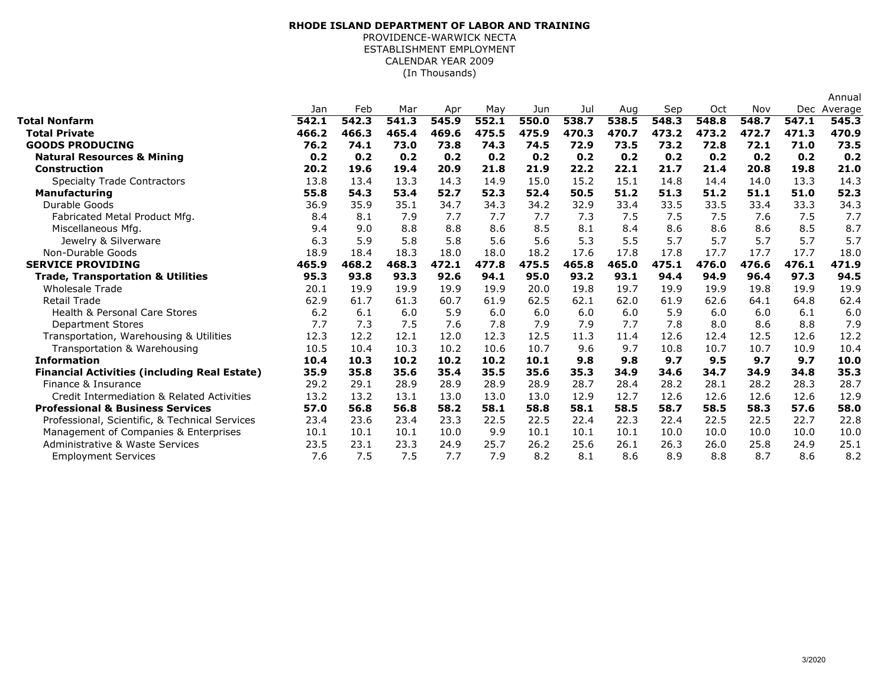## (In Thousands)**RHODE ISLAND DEPARTMENT OF LABOR AND TRAINING**PROVIDENCE-WARWICK NECTA ESTABLISHMENT EMPLOYMENTCALENDAR YEAR 2009

|                                                     |       |       |       |       |       |       |       |       |       |       |       |       | Annual      |
|-----------------------------------------------------|-------|-------|-------|-------|-------|-------|-------|-------|-------|-------|-------|-------|-------------|
|                                                     | Jan   | Feb   | Mar   | Apr   | May   | Jun   | Jul   | Aug   | Sep   | Oct   | Nov   |       | Dec Average |
| <b>Total Nonfarm</b>                                | 542.1 | 542.3 | 541.3 | 545.9 | 552.1 | 550.0 | 538.7 | 538.5 | 548.3 | 548.8 | 548.7 | 547.1 | 545.3       |
| <b>Total Private</b>                                | 466.2 | 466.3 | 465.4 | 469.6 | 475.5 | 475.9 | 470.3 | 470.7 | 473.2 | 473.2 | 472.7 | 471.3 | 470.9       |
| <b>GOODS PRODUCING</b>                              | 76.2  | 74.1  | 73.0  | 73.8  | 74.3  | 74.5  | 72.9  | 73.5  | 73.2  | 72.8  | 72.1  | 71.0  | 73.5        |
| <b>Natural Resources &amp; Mining</b>               | 0.2   | 0.2   | 0.2   | 0.2   | 0.2   | 0.2   | 0.2   | 0.2   | 0.2   | 0.2   | 0.2   | 0.2   | 0.2         |
| <b>Construction</b>                                 | 20.2  | 19.6  | 19.4  | 20.9  | 21.8  | 21.9  | 22.2  | 22.1  | 21.7  | 21.4  | 20.8  | 19.8  | 21.0        |
| <b>Specialty Trade Contractors</b>                  | 13.8  | 13.4  | 13.3  | 14.3  | 14.9  | 15.0  | 15.2  | 15.1  | 14.8  | 14.4  | 14.0  | 13.3  | 14.3        |
| <b>Manufacturing</b>                                | 55.8  | 54.3  | 53.4  | 52.7  | 52.3  | 52.4  | 50.5  | 51.2  | 51.3  | 51.2  | 51.1  | 51.0  | 52.3        |
| Durable Goods                                       | 36.9  | 35.9  | 35.1  | 34.7  | 34.3  | 34.2  | 32.9  | 33.4  | 33.5  | 33.5  | 33.4  | 33.3  | 34.3        |
| Fabricated Metal Product Mfg.                       | 8.4   | 8.1   | 7.9   | 7.7   | 7.7   | 7.7   | 7.3   | 7.5   | 7.5   | 7.5   | 7.6   | 7.5   | 7.7         |
| Miscellaneous Mfg.                                  | 9.4   | 9.0   | 8.8   | 8.8   | 8.6   | 8.5   | 8.1   | 8.4   | 8.6   | 8.6   | 8.6   | 8.5   | 8.7         |
| Jewelry & Silverware                                | 6.3   | 5.9   | 5.8   | 5.8   | 5.6   | 5.6   | 5.3   | 5.5   | 5.7   | 5.7   | 5.7   | 5.7   | 5.7         |
| Non-Durable Goods                                   | 18.9  | 18.4  | 18.3  | 18.0  | 18.0  | 18.2  | 17.6  | 17.8  | 17.8  | 17.7  | 17.7  | 17.7  | 18.0        |
| <b>SERVICE PROVIDING</b>                            | 465.9 | 468.2 | 468.3 | 472.1 | 477.8 | 475.5 | 465.8 | 465.0 | 475.1 | 476.0 | 476.6 | 476.1 | 471.9       |
| <b>Trade, Transportation &amp; Utilities</b>        | 95.3  | 93.8  | 93.3  | 92.6  | 94.1  | 95.0  | 93.2  | 93.1  | 94.4  | 94.9  | 96.4  | 97.3  | 94.5        |
| <b>Wholesale Trade</b>                              | 20.1  | 19.9  | 19.9  | 19.9  | 19.9  | 20.0  | 19.8  | 19.7  | 19.9  | 19.9  | 19.8  | 19.9  | 19.9        |
| <b>Retail Trade</b>                                 | 62.9  | 61.7  | 61.3  | 60.7  | 61.9  | 62.5  | 62.1  | 62.0  | 61.9  | 62.6  | 64.1  | 64.8  | 62.4        |
| <b>Health &amp; Personal Care Stores</b>            | 6.2   | 6.1   | 6.0   | 5.9   | 6.0   | 6.0   | 6.0   | 6.0   | 5.9   | 6.0   | 6.0   | 6.1   | 6.0         |
| <b>Department Stores</b>                            | 7.7   | 7.3   | 7.5   | 7.6   | 7.8   | 7.9   | 7.9   | 7.7   | 7.8   | 8.0   | 8.6   | 8.8   | 7.9         |
| Transportation, Warehousing & Utilities             | 12.3  | 12.2  | 12.1  | 12.0  | 12.3  | 12.5  | 11.3  | 11.4  | 12.6  | 12.4  | 12.5  | 12.6  | 12.2        |
| Transportation & Warehousing                        | 10.5  | 10.4  | 10.3  | 10.2  | 10.6  | 10.7  | 9.6   | 9.7   | 10.8  | 10.7  | 10.7  | 10.9  | 10.4        |
| <b>Information</b>                                  | 10.4  | 10.3  | 10.2  | 10.2  | 10.2  | 10.1  | 9.8   | 9.8   | 9.7   | 9.5   | 9.7   | 9.7   | 10.0        |
| <b>Financial Activities (including Real Estate)</b> | 35.9  | 35.8  | 35.6  | 35.4  | 35.5  | 35.6  | 35.3  | 34.9  | 34.6  | 34.7  | 34.9  | 34.8  | 35.3        |
| Finance & Insurance                                 | 29.2  | 29.1  | 28.9  | 28.9  | 28.9  | 28.9  | 28.7  | 28.4  | 28.2  | 28.1  | 28.2  | 28.3  | 28.7        |
| Credit Intermediation & Related Activities          | 13.2  | 13.2  | 13.1  | 13.0  | 13.0  | 13.0  | 12.9  | 12.7  | 12.6  | 12.6  | 12.6  | 12.6  | 12.9        |
| <b>Professional &amp; Business Services</b>         | 57.0  | 56.8  | 56.8  | 58.2  | 58.1  | 58.8  | 58.1  | 58.5  | 58.7  | 58.5  | 58.3  | 57.6  | 58.0        |
| Professional, Scientific, & Technical Services      | 23.4  | 23.6  | 23.4  | 23.3  | 22.5  | 22.5  | 22.4  | 22.3  | 22.4  | 22.5  | 22.5  | 22.7  | 22.8        |
| Management of Companies & Enterprises               | 10.1  | 10.1  | 10.1  | 10.0  | 9.9   | 10.1  | 10.1  | 10.1  | 10.0  | 10.0  | 10.0  | 10.0  | 10.0        |
| Administrative & Waste Services                     | 23.5  | 23.1  | 23.3  | 24.9  | 25.7  | 26.2  | 25.6  | 26.1  | 26.3  | 26.0  | 25.8  | 24.9  | 25.1        |
| <b>Employment Services</b>                          | 7.6   | 7.5   | 7.5   | 7.7   | 7.9   | 8.2   | 8.1   | 8.6   | 8.9   | 8.8   | 8.7   | 8.6   | 8.2         |
|                                                     |       |       |       |       |       |       |       |       |       |       |       |       |             |